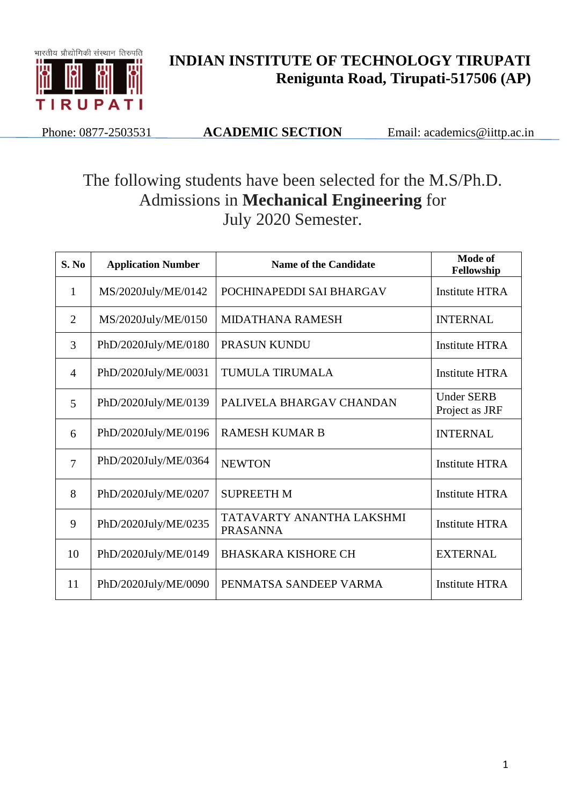

## **INDIAN INSTITUTE OF TECHNOLOGY TIRUPATI Renigunta Road, Tirupati-517506 (AP)**

Phone: 0877-2503531 **ACADEMIC SECTION** Email: academics@iittp.ac.in

## The following students have been selected for the M.S/Ph.D. Admissions in **Mechanical Engineering** for July 2020 Semester.

| S. No          | <b>Application Number</b> | <b>Name of the Candidate</b>                 | Mode of<br>Fellowship               |
|----------------|---------------------------|----------------------------------------------|-------------------------------------|
| $\mathbf{1}$   | MS/2020July/ME/0142       | POCHINAPEDDI SAI BHARGAV                     | <b>Institute HTRA</b>               |
| 2              | MS/2020July/ME/0150       | <b>MIDATHANA RAMESH</b>                      | <b>INTERNAL</b>                     |
| 3              | PhD/2020July/ME/0180      | <b>PRASUN KUNDU</b>                          | Institute HTRA                      |
| $\overline{4}$ | PhD/2020July/ME/0031      | <b>TUMULA TIRUMALA</b>                       | <b>Institute HTRA</b>               |
| 5              | PhD/2020July/ME/0139      | PALIVELA BHARGAV CHANDAN                     | <b>Under SERB</b><br>Project as JRF |
| 6              | PhD/2020July/ME/0196      | <b>RAMESH KUMAR B</b>                        | <b>INTERNAL</b>                     |
| $\overline{7}$ | PhD/2020July/ME/0364      | <b>NEWTON</b>                                | <b>Institute HTRA</b>               |
| 8              | PhD/2020July/ME/0207      | <b>SUPREETH M</b>                            | <b>Institute HTRA</b>               |
| 9              | PhD/2020July/ME/0235      | TATAVARTY ANANTHA LAKSHMI<br><b>PRASANNA</b> | <b>Institute HTRA</b>               |
| 10             | PhD/2020July/ME/0149      | <b>BHASKARA KISHORE CH</b>                   | <b>EXTERNAL</b>                     |
| 11             | PhD/2020July/ME/0090      | PENMATSA SANDEEP VARMA                       | <b>Institute HTRA</b>               |